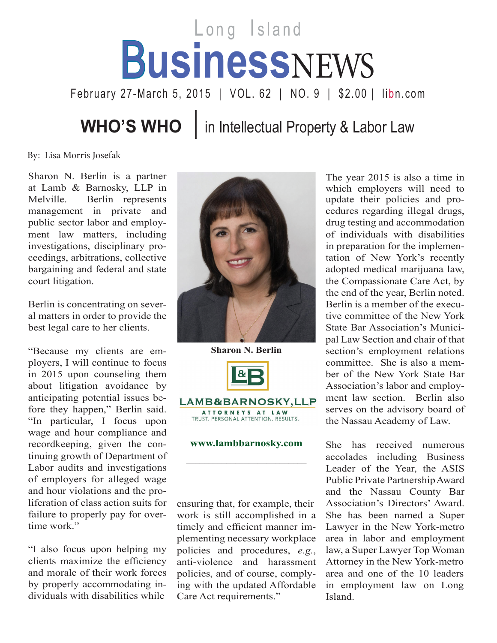## Long Island B**usiness**NEWS

February 27-March 5, 2015 | VOL. 62 | NO. 9 | \$2.00 | libn.com

**WHO'S WHO** | in Intellectual Property & Labor Law

By: Lisa Morris Josefak

Sharon N. Berlin is a partner at Lamb & Barnosky, LLP in Melville. Berlin represents management in private and public sector labor and employment law matters, including investigations, disciplinary proceedings, arbitrations, collective bargaining and federal and state court litigation.

Berlin is concentrating on several matters in order to provide the best legal care to her clients.

"Because my clients are employers, I will continue to focus in 2015 upon counseling them about litigation avoidance by anticipating potential issues before they happen," Berlin said. "In particular, I focus upon wage and hour compliance and recordkeeping, given the continuing growth of Department of Labor audits and investigations of employers for alleged wage and hour violations and the proliferation of class action suits for failure to properly pay for overtime work."

"I also focus upon helping my clients maximize the efficiency and morale of their work forces by properly accommodating individuals with disabilities while



**Sharon N. Berlin**  $\alpha$ LAMB&BARNOSKY,LLP ATTORNEYS AT LAW TRUST. PERSONAL ATTENTION. RESULTS.

## **www.lambbarnosky.com**

\_\_\_\_\_\_\_\_\_\_\_\_\_\_\_\_\_\_\_\_\_\_\_\_\_\_\_

ensuring that, for example, their work is still accomplished in a timely and efficient manner implementing necessary workplace policies and procedures, *e.g.*, anti-violence and harassment policies, and of course, complying with the updated Affordable Care Act requirements."

The year 2015 is also a time in which employers will need to update their policies and procedures regarding illegal drugs, drug testing and accommodation of individuals with disabilities in preparation for the implementation of New York's recently adopted medical marijuana law, the Compassionate Care Act, by the end of the year, Berlin noted. Berlin is a member of the executive committee of the New York State Bar Association's Municipal Law Section and chair of that section's employment relations committee. She is also a member of the New York State Bar Association's labor and employment law section. Berlin also serves on the advisory board of the Nassau Academy of Law.

She has received numerous accolades including Business Leader of the Year, the ASIS Public Private Partnership Award and the Nassau County Bar Association's Directors' Award. She has been named a Super Lawyer in the New York-metro area in labor and employment law, a Super Lawyer Top Woman Attorney in the New York-metro area and one of the 10 leaders in employment law on Long Island.